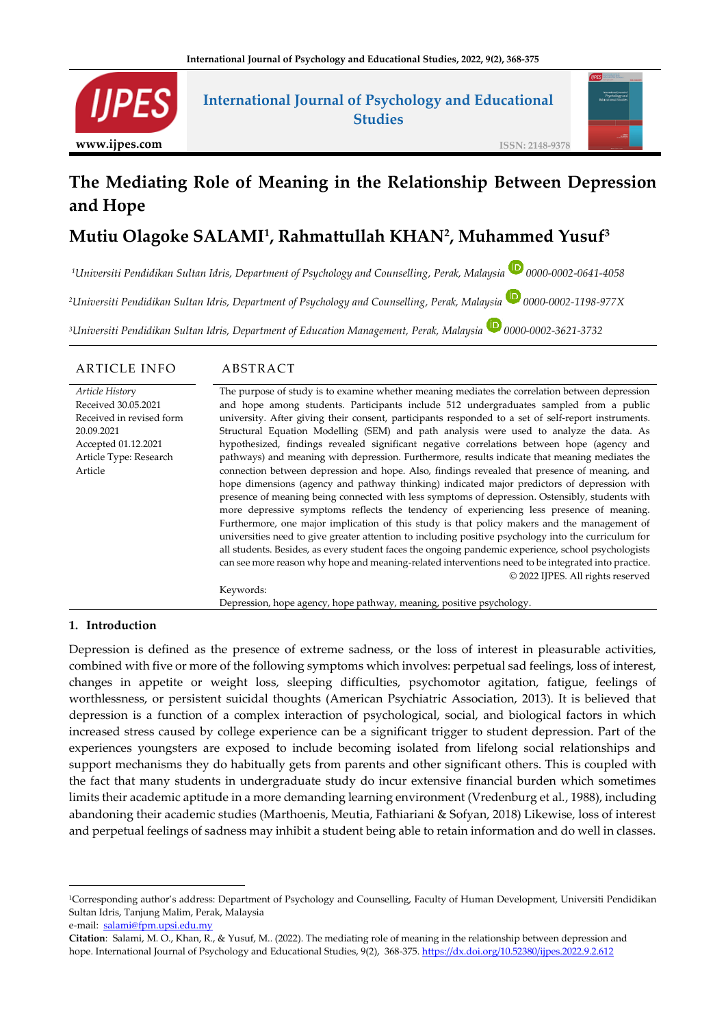

## **International Journal of Psychology and Educational Studies**



#### **ISSN: 2148-9378**

# **The Mediating Role of Meaning in the Relationship Between Depression and Hope**

# **Mutiu Olagoke SALAMI<sup>1</sup> , Rahmattullah KHAN<sup>2</sup> , Muhammed Yusuf<sup>3</sup>**

*<sup>1</sup>Universiti Pendidikan Sultan Idris, Department of Psychology and Counselling, Perak, Malaysia 0000-0002-0641-4058*

*<sup>2</sup>Universiti Pendidikan Sultan Idris, Department of Psychology and Counselling, Perak, Malaysia 0000-0002-1198-977X*

*<sup>3</sup>Universiti Pendidikan Sultan Idris, Department of Education Management, Perak, Malaysia 0000-0002-3621-3732*

#### ARTICLE INFO ABSTRACT

*Article Histor*y Received 30.05.2021 Received in revised form 20.09.2021 Accepted 01.12.2021 Article Type: Research Article The purpose of study is to examine whether meaning mediates the correlation between depression and hope among students. Participants include 512 undergraduates sampled from a public university. After giving their consent, participants responded to a set of self-report instruments. Structural Equation Modelling (SEM) and path analysis were used to analyze the data. As hypothesized, findings revealed significant negative correlations between hope (agency and pathways) and meaning with depression. Furthermore, results indicate that meaning mediates the connection between depression and hope. Also, findings revealed that presence of meaning, and hope dimensions (agency and pathway thinking) indicated major predictors of depression with presence of meaning being connected with less symptoms of depression. Ostensibly, students with more depressive symptoms reflects the tendency of experiencing less presence of meaning. Furthermore, one major implication of this study is that policy makers and the management of universities need to give greater attention to including positive psychology into the curriculum for all students. Besides, as every student faces the ongoing pandemic experience, school psychologists can see more reason why hope and meaning-related interventions need to be integrated into practice. © 2022 IJPES. All rights reserved Keywords:

Depression, hope agency, hope pathway, meaning, positive psychology.

#### **1. Introduction**

Depression is defined as the presence of extreme sadness, or the loss of interest in pleasurable activities, combined with five or more of the following symptoms which involves: perpetual sad feelings, loss of interest, changes in appetite or weight loss, sleeping difficulties, psychomotor agitation, fatigue, feelings of worthlessness, or persistent suicidal thoughts (American Psychiatric Association, 2013). It is believed that depression is a function of a complex interaction of psychological, social, and biological factors in which increased stress caused by college experience can be a significant trigger to student depression. Part of the experiences youngsters are exposed to include becoming isolated from lifelong social relationships and support mechanisms they do habitually gets from parents and other significant others. This is coupled with the fact that many students in undergraduate study do incur extensive financial burden which sometimes limits their academic aptitude in a more demanding learning environment (Vredenburg et al., 1988), including abandoning their academic studies (Marthoenis, Meutia, Fathiariani & Sofyan, 2018) Likewise, loss of interest and perpetual feelings of sadness may inhibit a student being able to retain information and do well in classes.

<sup>1</sup>Corresponding author's address: Department of Psychology and Counselling, Faculty of Human Development, Universiti Pendidikan Sultan Idris, Tanjung Malim, Perak, Malaysia

e-mail: [salami@fpm.upsi.edu.my](mailto:salami@fpm.upsi.edu.my)

**Citation**: Salami, M. O., Khan, R., & Yusuf, M.. (2022). The mediating role of meaning in the relationship between depression and hope. International Journal of Psychology and Educational Studies, 9(2), 368-375[. https://dx.doi.org/10.52380/ijpes.2022.9.2.612](https://dx.doi.org/10.52380/ijpes.2022.9.2.612)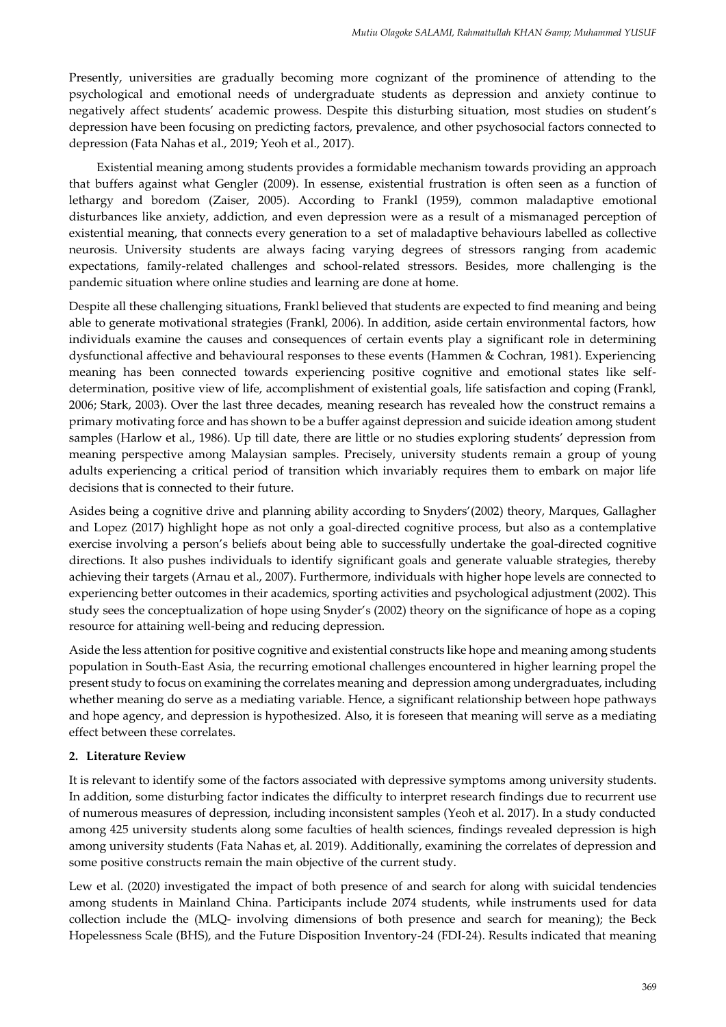Presently, universities are gradually becoming more cognizant of the prominence of attending to the psychological and emotional needs of undergraduate students as depression and anxiety continue to negatively affect students' academic prowess. Despite this disturbing situation, most studies on student's depression have been focusing on predicting factors, prevalence, and other psychosocial factors connected to depression (Fata Nahas et al., 2019; Yeoh et al., 2017).

Existential meaning among students provides a formidable mechanism towards providing an approach that buffers against what Gengler (2009). In essense, existential frustration is often seen as a function of lethargy and boredom (Zaiser, 2005). According to Frankl (1959), common maladaptive emotional disturbances like anxiety, addiction, and even depression were as a result of a mismanaged perception of existential meaning, that connects every generation to a set of maladaptive behaviours labelled as collective neurosis. University students are always facing varying degrees of stressors ranging from academic expectations, family-related challenges and school-related stressors. Besides, more challenging is the pandemic situation where online studies and learning are done at home.

Despite all these challenging situations, Frankl believed that students are expected to find meaning and being able to generate motivational strategies (Frankl, 2006). In addition, aside certain environmental factors, how individuals examine the causes and consequences of certain events play a significant role in determining dysfunctional affective and behavioural responses to these events (Hammen & Cochran, 1981). Experiencing meaning has been connected towards experiencing positive cognitive and emotional states like selfdetermination, positive view of life, accomplishment of existential goals, life satisfaction and coping (Frankl, 2006; Stark, 2003). Over the last three decades, meaning research has revealed how the construct remains a primary motivating force and has shown to be a buffer against depression and suicide ideation among student samples (Harlow et al., 1986). Up till date, there are little or no studies exploring students' depression from meaning perspective among Malaysian samples. Precisely, university students remain a group of young adults experiencing a critical period of transition which invariably requires them to embark on major life decisions that is connected to their future.

Asides being a cognitive drive and planning ability according to Snyders'(2002) theory, Marques, Gallagher and Lopez (2017) highlight hope as not only a goal-directed cognitive process, but also as a contemplative exercise involving a person's beliefs about being able to successfully undertake the goal-directed cognitive directions. It also pushes individuals to identify significant goals and generate valuable strategies, thereby achieving their targets (Arnau et al., 2007). Furthermore, individuals with higher hope levels are connected to experiencing better outcomes in their academics, sporting activities and psychological adjustment (2002). This study sees the conceptualization of hope using Snyder's (2002) theory on the significance of hope as a coping resource for attaining well-being and reducing depression.

Aside the less attention for positive cognitive and existential constructs like hope and meaning among students population in South-East Asia, the recurring emotional challenges encountered in higher learning propel the present study to focus on examining the correlates meaning and depression among undergraduates, including whether meaning do serve as a mediating variable. Hence, a significant relationship between hope pathways and hope agency, and depression is hypothesized. Also, it is foreseen that meaning will serve as a mediating effect between these correlates.

#### **2. Literature Review**

It is relevant to identify some of the factors associated with depressive symptoms among university students. In addition, some disturbing factor indicates the difficulty to interpret research findings due to recurrent use of numerous measures of depression, including inconsistent samples (Yeoh et al. 2017). In a study conducted among 425 university students along some faculties of health sciences, findings revealed depression is high among university students (Fata Nahas et, al. 2019). Additionally, examining the correlates of depression and some positive constructs remain the main objective of the current study.

Lew et al. (2020) investigated the impact of both presence of and search for along with suicidal tendencies among students in Mainland China. Participants include 2074 students, while instruments used for data collection include the (MLQ- involving dimensions of both presence and search for meaning); the Beck Hopelessness Scale (BHS), and the Future Disposition Inventory-24 (FDI-24). Results indicated that meaning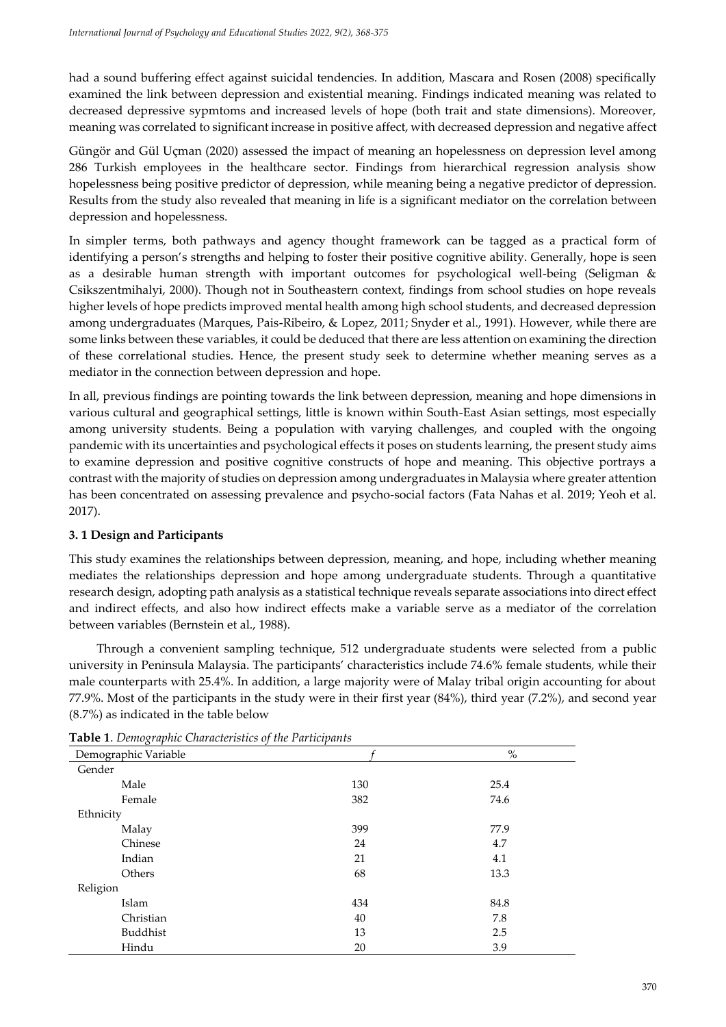had a sound buffering effect against suicidal tendencies. In addition, Mascara and Rosen (2008) specifically examined the link between depression and existential meaning. Findings indicated meaning was related to decreased depressive sypmtoms and increased levels of hope (both trait and state dimensions). Moreover, meaning was correlated to significant increase in positive affect, with decreased depression and negative affect

Güngör and Gül Uçman (2020) assessed the impact of meaning an hopelessness on depression level among 286 Turkish employees in the healthcare sector. Findings from hierarchical regression analysis show hopelessness being positive predictor of depression, while meaning being a negative predictor of depression. Results from the study also revealed that meaning in life is a significant mediator on the correlation between depression and hopelessness.

In simpler terms, both pathways and agency thought framework can be tagged as a practical form of identifying a person's strengths and helping to foster their positive cognitive ability. Generally, hope is seen as a desirable human strength with important outcomes for psychological well-being (Seligman & Csikszentmihalyi, 2000). Though not in Southeastern context, findings from school studies on hope reveals higher levels of hope predicts improved mental health among high school students, and decreased depression among undergraduates (Marques, Pais-Ribeiro, & Lopez, 2011; Snyder et al., 1991). However, while there are some links between these variables, it could be deduced that there are less attention on examining the direction of these correlational studies. Hence, the present study seek to determine whether meaning serves as a mediator in the connection between depression and hope.

In all, previous findings are pointing towards the link between depression, meaning and hope dimensions in various cultural and geographical settings, little is known within South-East Asian settings, most especially among university students. Being a population with varying challenges, and coupled with the ongoing pandemic with its uncertainties and psychological effects it poses on students learning, the present study aims to examine depression and positive cognitive constructs of hope and meaning. This objective portrays a contrast with the majority of studies on depression among undergraduates in Malaysia where greater attention has been concentrated on assessing prevalence and psycho-social factors (Fata Nahas et al. 2019; Yeoh et al. 2017).

## **3. 1 Design and Participants**

This study examines the relationships between depression, meaning, and hope, including whether meaning mediates the relationships depression and hope among undergraduate students. Through a quantitative research design, adopting path analysis as a statistical technique reveals separate associations into direct effect and indirect effects, and also how indirect effects make a variable serve as a mediator of the correlation between variables (Bernstein et al., 1988).

Through a convenient sampling technique, 512 undergraduate students were selected from a public university in Peninsula Malaysia. The participants' characteristics include 74.6% female students, while their male counterparts with 25.4%. In addition, a large majority were of Malay tribal origin accounting for about 77.9%. Most of the participants in the study were in their first year (84%), third year (7.2%), and second year (8.7%) as indicated in the table below

| $\sim$ $\sim$<br>Demographic Variable |     | $\%$ |
|---------------------------------------|-----|------|
| Gender                                |     |      |
| Male                                  | 130 | 25.4 |
| Female                                | 382 | 74.6 |
| Ethnicity                             |     |      |
| Malay                                 | 399 | 77.9 |
| Chinese                               | 24  | 4.7  |
| Indian                                | 21  | 4.1  |
| Others                                | 68  | 13.3 |
| Religion                              |     |      |
| Islam                                 | 434 | 84.8 |
| Christian                             | 40  | 7.8  |
| Buddhist                              | 13  | 2.5  |
| Hindu                                 | 20  | 3.9  |

**Table 1**. *Demographic Characteristics of the Participants*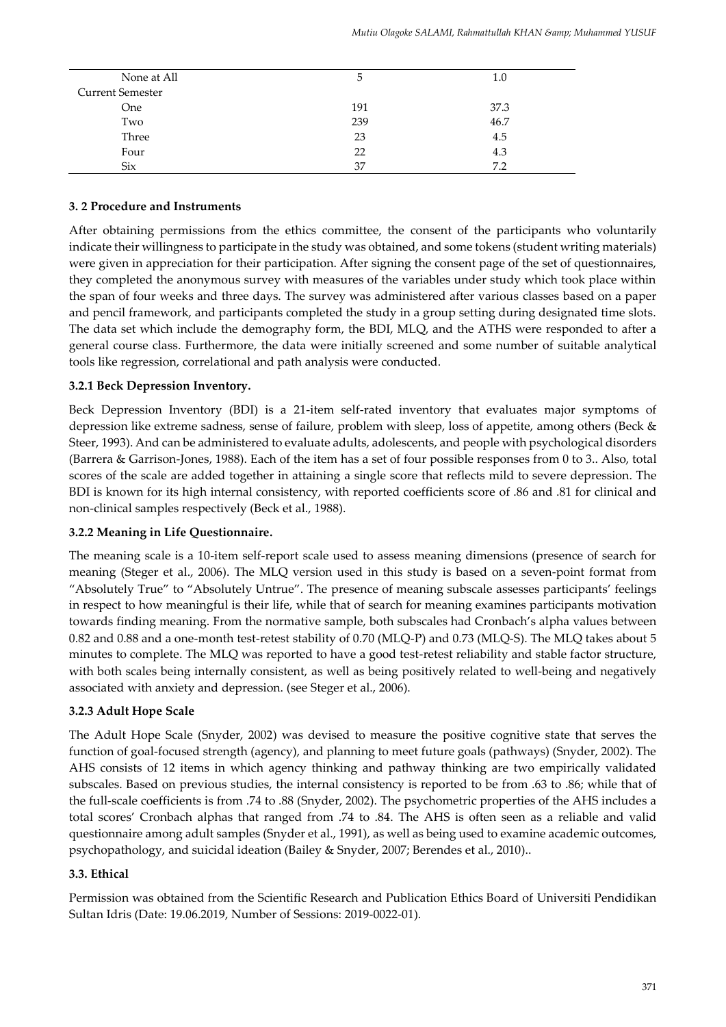| None at All             | ა   | 1.0  |
|-------------------------|-----|------|
| <b>Current Semester</b> |     |      |
| <b>One</b>              | 191 | 37.3 |
| Two                     | 239 | 46.7 |
| Three                   | 23  | 4.5  |
| Four                    | 22  | 4.3  |
| <b>Six</b>              | 37  | 7.2  |

#### **3. 2 Procedure and Instruments**

After obtaining permissions from the ethics committee, the consent of the participants who voluntarily indicate their willingness to participate in the study was obtained, and some tokens (student writing materials) were given in appreciation for their participation. After signing the consent page of the set of questionnaires, they completed the anonymous survey with measures of the variables under study which took place within the span of four weeks and three days. The survey was administered after various classes based on a paper and pencil framework, and participants completed the study in a group setting during designated time slots. The data set which include the demography form, the BDI, MLQ, and the ATHS were responded to after a general course class. Furthermore, the data were initially screened and some number of suitable analytical tools like regression, correlational and path analysis were conducted.

#### **3.2.1 Beck Depression Inventory.**

Beck Depression Inventory (BDI) is a 21-item self-rated inventory that evaluates major symptoms of depression like extreme sadness, sense of failure, problem with sleep, loss of appetite, among others (Beck & Steer, 1993). And can be administered to evaluate adults, adolescents, and people with psychological disorders (Barrera & Garrison-Jones, 1988). Each of the item has a set of four possible responses from 0 to 3.. Also, total scores of the scale are added together in attaining a single score that reflects mild to severe depression. The BDI is known for its high internal consistency, with reported coefficients score of .86 and .81 for clinical and non-clinical samples respectively (Beck et al., 1988).

### **3.2.2 Meaning in Life Questionnaire.**

The meaning scale is a 10-item self-report scale used to assess meaning dimensions (presence of search for meaning (Steger et al., 2006). The MLQ version used in this study is based on a seven-point format from "Absolutely True" to "Absolutely Untrue". The presence of meaning subscale assesses participants' feelings in respect to how meaningful is their life, while that of search for meaning examines participants motivation towards finding meaning. From the normative sample, both subscales had Cronbach's alpha values between 0.82 and 0.88 and a one-month test-retest stability of 0.70 (MLQ-P) and 0.73 (MLQ-S). The MLQ takes about 5 minutes to complete. The MLQ was reported to have a good test-retest reliability and stable factor structure, with both scales being internally consistent, as well as being positively related to well-being and negatively associated with anxiety and depression. (see Steger et al., 2006).

### **3.2.3 Adult Hope Scale**

The Adult Hope Scale (Snyder, 2002) was devised to measure the positive cognitive state that serves the function of goal-focused strength (agency), and planning to meet future goals (pathways) (Snyder, 2002). The AHS consists of 12 items in which agency thinking and pathway thinking are two empirically validated subscales. Based on previous studies, the internal consistency is reported to be from .63 to .86; while that of the full-scale coefficients is from .74 to .88 (Snyder, 2002). The psychometric properties of the AHS includes a total scores' Cronbach alphas that ranged from .74 to .84. The AHS is often seen as a reliable and valid questionnaire among adult samples (Snyder et al., 1991), as well as being used to examine academic outcomes, psychopathology, and suicidal ideation (Bailey & Snyder, 2007; Berendes et al., 2010)..

### **3.3. Ethical**

Permission was obtained from the Scientific Research and Publication Ethics Board of Universiti Pendidikan Sultan Idris (Date: 19.06.2019, Number of Sessions: 2019-0022-01).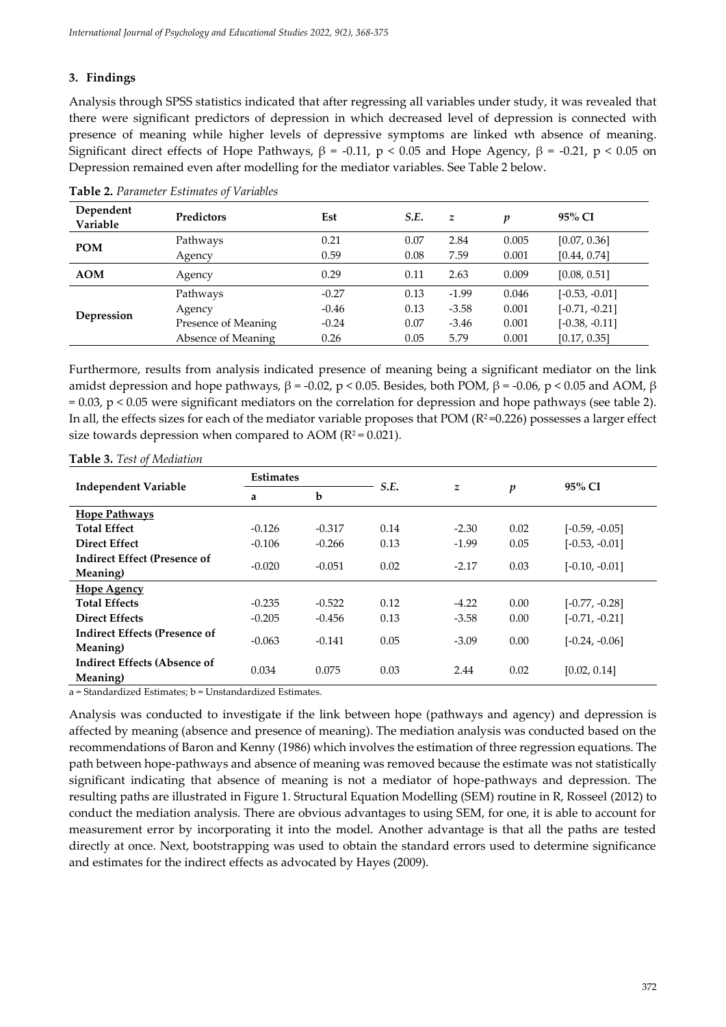#### **3. Findings**

Analysis through SPSS statistics indicated that after regressing all variables under study, it was revealed that there were significant predictors of depression in which decreased level of depression is connected with presence of meaning while higher levels of depressive symptoms are linked wth absence of meaning. Significant direct effects of Hope Pathways,  $β = -0.11$ ,  $p < 0.05$  and Hope Agency,  $β = -0.21$ ,  $p < 0.05$  on Depression remained even after modelling for the mediator variables. See Table 2 below.

| Dependent<br>Variable | Predictors          | Est     | S.E. | $\mathbf{z}$ | p     | 95% CI           |
|-----------------------|---------------------|---------|------|--------------|-------|------------------|
| <b>POM</b>            | Pathways            | 0.21    | 0.07 | 2.84         | 0.005 | [0.07, 0.36]     |
|                       | Agency              | 0.59    | 0.08 | 7.59         | 0.001 | [0.44, 0.74]     |
| <b>AOM</b>            | Agency              | 0.29    | 0.11 | 2.63         | 0.009 | [0.08, 0.51]     |
| Depression            | Pathways            | $-0.27$ | 0.13 | $-1.99$      | 0.046 | $[-0.53, -0.01]$ |
|                       | Agency              | $-0.46$ | 0.13 | $-3.58$      | 0.001 | $[-0.71, -0.21]$ |
|                       | Presence of Meaning | $-0.24$ | 0.07 | $-3.46$      | 0.001 | $[-0.38, -0.11]$ |
|                       | Absence of Meaning  | 0.26    | 0.05 | 5.79         | 0.001 | [0.17, 0.35]     |

**Table 2.** *Parameter Estimates of Variables*

Furthermore, results from analysis indicated presence of meaning being a significant mediator on the link amidst depression and hope pathways,  $β = -0.02$ ,  $p < 0.05$ . Besides, both POM,  $β = -0.06$ ,  $p < 0.05$  and AOM,  $β$ = 0.03, p < 0.05 were significant mediators on the correlation for depression and hope pathways (see table 2). In all, the effects sizes for each of the mediator variable proposes that POM ( $R^2$ =0.226) possesses a larger effect size towards depression when compared to AOM ( $R^2$  = 0.021).

| <b>Independent Variable</b>          | <b>Estimates</b> |          |      |                  |      | 95% CI           |
|--------------------------------------|------------------|----------|------|------------------|------|------------------|
|                                      | a                | b        | S.E. | $\boldsymbol{z}$ | p    |                  |
| <b>Hope Pathways</b>                 |                  |          |      |                  |      |                  |
| <b>Total Effect</b>                  | $-0.126$         | $-0.317$ | 0.14 | $-2.30$          | 0.02 | $[-0.59, -0.05]$ |
| <b>Direct Effect</b>                 | $-0.106$         | $-0.266$ | 0.13 | $-1.99$          | 0.05 | $[-0.53, -0.01]$ |
| <b>Indirect Effect (Presence of</b>  | $-0.020$         | $-0.051$ | 0.02 | $-2.17$          | 0.03 | $[-0.10, -0.01]$ |
| Meaning)                             |                  |          |      |                  |      |                  |
| <b>Hope Agency</b>                   |                  |          |      |                  |      |                  |
| <b>Total Effects</b>                 | $-0.235$         | $-0.522$ | 0.12 | $-4.22$          | 0.00 | $[-0.77, -0.28]$ |
| <b>Direct Effects</b>                | $-0.205$         | $-0.456$ | 0.13 | $-3.58$          | 0.00 | $[-0.71, -0.21]$ |
| <b>Indirect Effects (Presence of</b> | $-0.063$         | $-0.141$ | 0.05 | $-3.09$          | 0.00 | $[-0.24, -0.06]$ |
| Meaning)                             |                  |          |      |                  |      |                  |
| <b>Indirect Effects (Absence of</b>  | 0.034            | 0.075    | 0.03 | 2.44             | 0.02 | [0.02, 0.14]     |
| Meaning)                             |                  |          |      |                  |      |                  |

#### **Table 3.** *Test of Mediation*

a = Standardized Estimates; b = Unstandardized Estimates.

Analysis was conducted to investigate if the link between hope (pathways and agency) and depression is affected by meaning (absence and presence of meaning). The mediation analysis was conducted based on the recommendations of Baron and Kenny (1986) which involves the estimation of three regression equations. The path between hope-pathways and absence of meaning was removed because the estimate was not statistically significant indicating that absence of meaning is not a mediator of hope-pathways and depression. The resulting paths are illustrated in Figure 1. Structural Equation Modelling (SEM) routine in R, Rosseel (2012) to conduct the mediation analysis. There are obvious advantages to using SEM, for one, it is able to account for measurement error by incorporating it into the model. Another advantage is that all the paths are tested directly at once. Next, bootstrapping was used to obtain the standard errors used to determine significance and estimates for the indirect effects as advocated by Hayes (2009).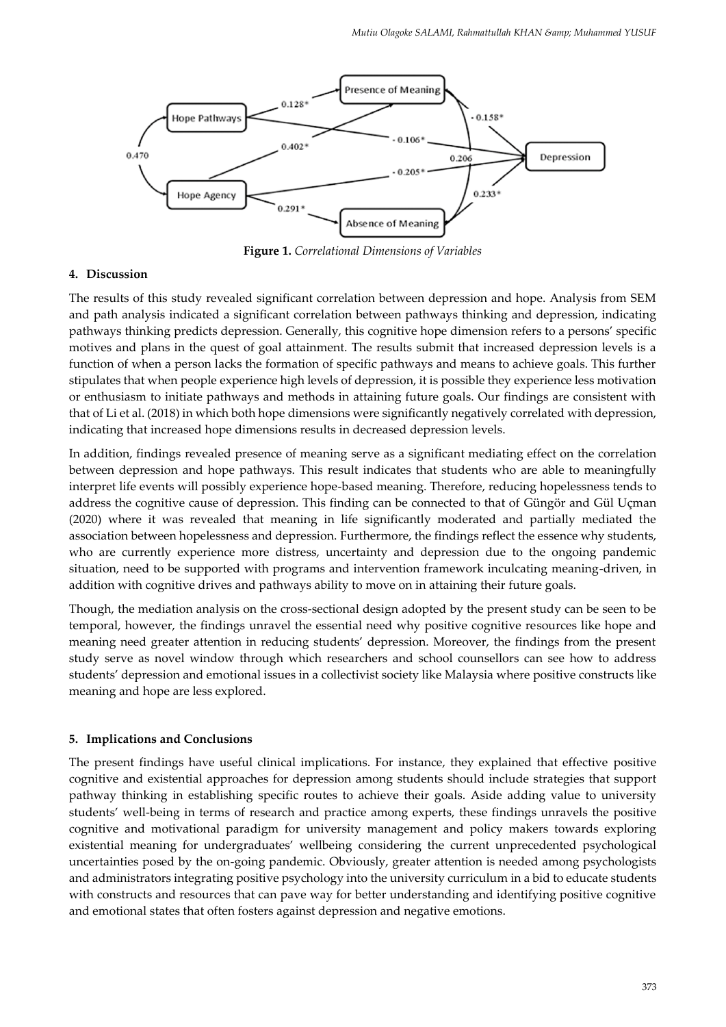

**Figure 1.** *Correlational Dimensions of Variables*

#### **4. Discussion**

The results of this study revealed significant correlation between depression and hope. Analysis from SEM and path analysis indicated a significant correlation between pathways thinking and depression, indicating pathways thinking predicts depression. Generally, this cognitive hope dimension refers to a persons' specific motives and plans in the quest of goal attainment. The results submit that increased depression levels is a function of when a person lacks the formation of specific pathways and means to achieve goals. This further stipulates that when people experience high levels of depression, it is possible they experience less motivation or enthusiasm to initiate pathways and methods in attaining future goals. Our findings are consistent with that of Li et al. (2018) in which both hope dimensions were significantly negatively correlated with depression, indicating that increased hope dimensions results in decreased depression levels.

In addition, findings revealed presence of meaning serve as a significant mediating effect on the correlation between depression and hope pathways. This result indicates that students who are able to meaningfully interpret life events will possibly experience hope-based meaning. Therefore, reducing hopelessness tends to address the cognitive cause of depression. This finding can be connected to that of Güngör and Gül Uçman (2020) where it was revealed that meaning in life significantly moderated and partially mediated the association between hopelessness and depression. Furthermore, the findings reflect the essence why students, who are currently experience more distress, uncertainty and depression due to the ongoing pandemic situation, need to be supported with programs and intervention framework inculcating meaning-driven, in addition with cognitive drives and pathways ability to move on in attaining their future goals.

Though, the mediation analysis on the cross-sectional design adopted by the present study can be seen to be temporal, however, the findings unravel the essential need why positive cognitive resources like hope and meaning need greater attention in reducing students' depression. Moreover, the findings from the present study serve as novel window through which researchers and school counsellors can see how to address students' depression and emotional issues in a collectivist society like Malaysia where positive constructs like meaning and hope are less explored.

#### **5. Implications and Conclusions**

The present findings have useful clinical implications. For instance, they explained that effective positive cognitive and existential approaches for depression among students should include strategies that support pathway thinking in establishing specific routes to achieve their goals. Aside adding value to university students' well-being in terms of research and practice among experts, these findings unravels the positive cognitive and motivational paradigm for university management and policy makers towards exploring existential meaning for undergraduates' wellbeing considering the current unprecedented psychological uncertainties posed by the on-going pandemic. Obviously, greater attention is needed among psychologists and administrators integrating positive psychology into the university curriculum in a bid to educate students with constructs and resources that can pave way for better understanding and identifying positive cognitive and emotional states that often fosters against depression and negative emotions.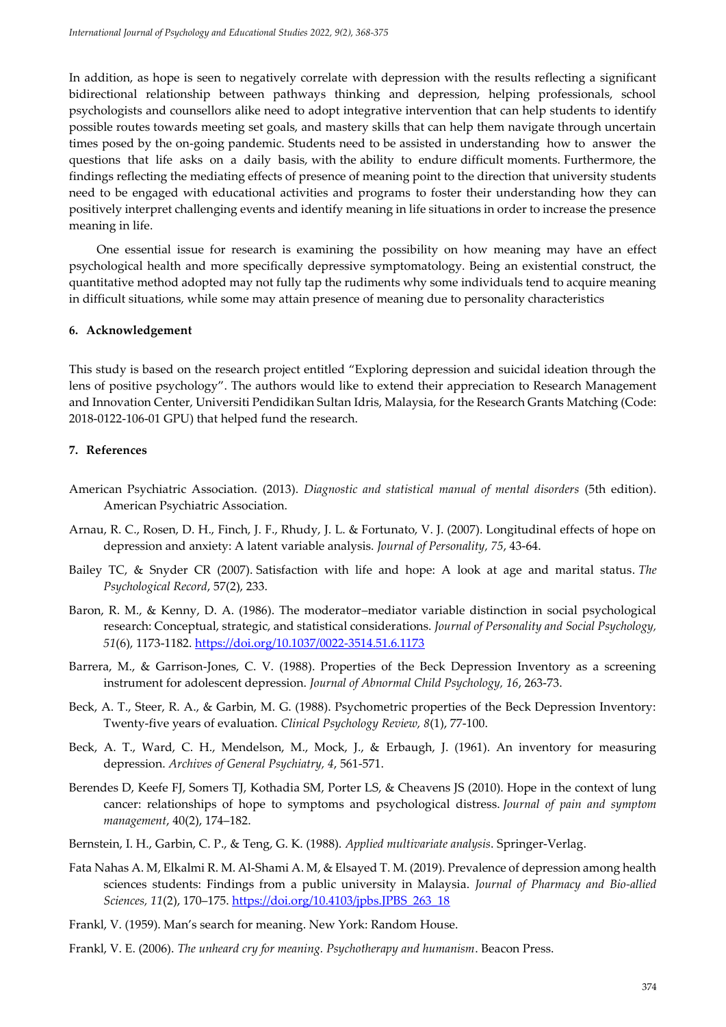In addition, as hope is seen to negatively correlate with depression with the results reflecting a significant bidirectional relationship between pathways thinking and depression, helping professionals, school psychologists and counsellors alike need to adopt integrative intervention that can help students to identify possible routes towards meeting set goals, and mastery skills that can help them navigate through uncertain times posed by the on-going pandemic. Students need to be assisted in understanding how to answer the questions that life asks on a daily basis, with the ability to endure difficult moments. Furthermore, the findings reflecting the mediating effects of presence of meaning point to the direction that university students need to be engaged with educational activities and programs to foster their understanding how they can positively interpret challenging events and identify meaning in life situations in order to increase the presence meaning in life.

One essential issue for research is examining the possibility on how meaning may have an effect psychological health and more specifically depressive symptomatology. Being an existential construct, the quantitative method adopted may not fully tap the rudiments why some individuals tend to acquire meaning in difficult situations, while some may attain presence of meaning due to personality characteristics

#### **6. Acknowledgement**

This study is based on the research project entitled "Exploring depression and suicidal ideation through the lens of positive psychology". The authors would like to extend their appreciation to Research Management and Innovation Center, Universiti Pendidikan Sultan Idris, Malaysia, for the Research Grants Matching (Code: 2018-0122-106-01 GPU) that helped fund the research.

#### **7. References**

- American Psychiatric Association. (2013). *Diagnostic and statistical manual of mental disorders* (5th edition). American Psychiatric Association.
- Arnau, R. C., Rosen, D. H., Finch, J. F., Rhudy, J. L. & Fortunato, V. J. (2007). Longitudinal effects of hope on depression and anxiety: A latent variable analysis. *Journal of Personality, 75*, 43-64.
- Bailey TC, & Snyder CR (2007). Satisfaction with life and hope: A look at age and marital status. *The Psychological Record*, 57(2), 233.
- Baron, R. M., & Kenny, D. A. (1986). The moderator–mediator variable distinction in social psychological research: Conceptual, strategic, and statistical considerations. *Journal of Personality and Social Psychology, 51*(6), 1173-1182.<https://doi.org/10.1037/0022-3514.51.6.1173>
- Barrera, M., & Garrison-Jones, C. V. (1988). Properties of the Beck Depression Inventory as a screening instrument for adolescent depression. *Journal of Abnormal Child Psychology, 16*, 263-73.
- Beck, A. T., Steer, R. A., & Garbin, M. G. (1988). Psychometric properties of the Beck Depression Inventory: Twenty-five years of evaluation. *Clinical Psychology Review, 8*(1), 77-100.
- Beck, A. T., Ward, C. H., Mendelson, M., Mock, J., & Erbaugh, J. (1961). An inventory for measuring depression. *Archives of General Psychiatry, 4*, 561-571.
- Berendes D, Keefe FJ, Somers TJ, Kothadia SM, Porter LS, & Cheavens JS (2010). Hope in the context of lung cancer: relationships of hope to symptoms and psychological distress. *Journal of pain and symptom management*, 40(2), 174–182.
- Bernstein, I. H., Garbin, C. P., & Teng, G. K. (1988). *Applied multivariate analysis*. Springer-Verlag.
- Fata Nahas A. M, Elkalmi R. M. Al-Shami A. M, & Elsayed T. M. (2019). Prevalence of depression among health sciences students: Findings from a public university in Malaysia. *Journal of Pharmacy and Bio-allied Sciences, 11*(2), 170–175. [https://doi.org/10.4103/jpbs.JPBS\\_263\\_18](https://doi.org/10.4103/jpbs.JPBS_263_18)
- Frankl, V. (1959). Man's search for meaning. New York: Random House.
- Frankl, V. E. (2006). *The unheard cry for meaning. Psychotherapy and humanism*. Beacon Press.